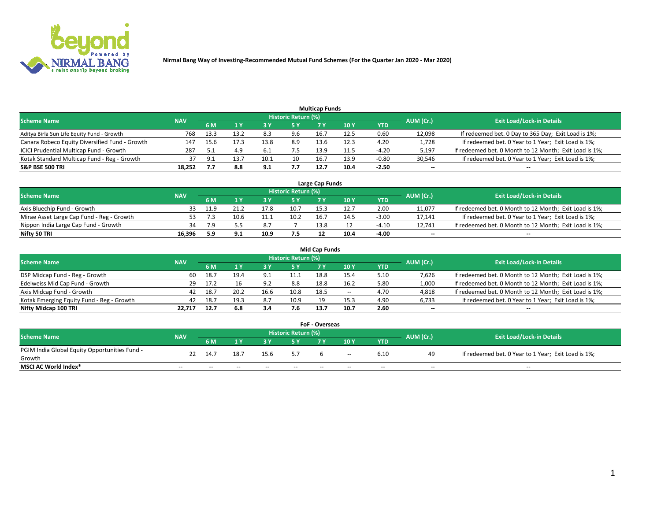

|                                                |            |      |      |      |                     | <b>Multicap Funds</b> |      |         |                          |                                                        |
|------------------------------------------------|------------|------|------|------|---------------------|-----------------------|------|---------|--------------------------|--------------------------------------------------------|
| Scheme Name                                    | <b>NAV</b> |      |      |      | Historic Return (%) |                       |      |         | AUM (Cr.)                | <b>Exit Load/Lock-in Details</b>                       |
|                                                |            | 6 M  | 1 Y  |      | 5 Y                 | 7 Y                   | 10Y  | YTD     |                          |                                                        |
| Aditya Birla Sun Life Equity Fund - Growth     | 768        | 13.3 | 13.2 |      | 9.6                 | 16.                   | 12.5 | 0.60    | 12,098                   | If redeemed bet. 0 Day to 365 Day; Exit Load is 1%;    |
| Canara Robeco Equity Diversified Fund - Growth | 147        | 15.6 |      | 13.8 | 8.9                 | 13.6                  | 12.3 | 4.20    | 1,728                    | If redeemed bet. 0 Year to 1 Year; Exit Load is 1%;    |
| ICICI Prudential Multicap Fund - Growth        | 287        |      |      |      |                     | 13.9                  |      | $-4.20$ | 5,197                    | If redeemed bet. 0 Month to 12 Month; Exit Load is 1%; |
| Kotak Standard Multicap Fund - Reg - Growth    |            |      | 13.7 | 10.1 | 10                  | 16.7                  | 13.9 | $-0.80$ | 30,546                   | If redeemed bet. 0 Year to 1 Year; Exit Load is 1%;    |
| <b>S&amp;P BSE 500 TRI</b>                     | 18.252     |      | 8.8  | 9.1  | 7.7                 | 12.7                  | 10.4 | $-2.50$ | $\overline{\phantom{a}}$ | $\overline{\phantom{a}}$                               |

| Large Cap Funds                           |            |      |         |      |                     |      |      |         |           |                                                        |  |  |  |  |
|-------------------------------------------|------------|------|---------|------|---------------------|------|------|---------|-----------|--------------------------------------------------------|--|--|--|--|
| Scheme Name                               | <b>NAV</b> |      |         |      | Historic Return (%) |      |      |         | AUM (Cr.) | <b>Exit Load/Lock-in Details</b>                       |  |  |  |  |
|                                           |            | 6 M  |         |      | 5 Y                 | 7 Y  | 10Y  | YTD     |           |                                                        |  |  |  |  |
| Axis Bluechip Fund - Growth               |            | 11.9 |         |      | 10.7                | 15.2 | 12.7 | 2.00    | 11,077    | If redeemed bet. 0 Month to 12 Month; Exit Load is 1%; |  |  |  |  |
| Mirae Asset Large Cap Fund - Reg - Growth |            |      | 10.6    |      | 10.2                | 16.  | 14.5 | $-3.00$ | 17,141    | If redeemed bet. 0 Year to 1 Year; Exit Load is 1%;    |  |  |  |  |
| Nippon India Large Cap Fund - Growth      |            | ם ל  |         | ر.ه  |                     | 13.8 |      | $-4.10$ | 12.741    | If redeemed bet. 0 Month to 12 Month; Exit Load is 1%; |  |  |  |  |
| Nifty 50 TRI                              | 16.396     | -5.9 | <b></b> | 10.9 | 7.5                 |      | 10.4 | $-4.00$ | $\sim$    | $-$                                                    |  |  |  |  |

|                                           |            |       |      |                   |                     | <b>Mid Cap Funds</b> |      |            |           |                                                        |
|-------------------------------------------|------------|-------|------|-------------------|---------------------|----------------------|------|------------|-----------|--------------------------------------------------------|
| <b>Scheme Name</b>                        | <b>NAV</b> |       |      |                   | Historic Return (%) |                      |      |            | AUM (Cr.) | <b>Exit Load/Lock-in Details</b>                       |
|                                           |            | 6 M   |      |                   | 5 Y                 |                      | 10 Y | <b>YTD</b> |           |                                                        |
| DSP Midcap Fund - Reg - Growth            | 60         | -18.7 | 19.4 | ٩                 | 11.1                | 18.8                 | 15.4 | 5.10       | 7,626     | If redeemed bet. 0 Month to 12 Month; Exit Load is 1%; |
| Edelweiss Mid Cap Fund - Growth           | 29         | 17.2  | 16   | $\alpha$ ?<br>J.L | 8.8                 | 18.8                 | 16.2 | 5.80       | 1,000     | If redeemed bet. 0 Month to 12 Month; Exit Load is 1%; |
| Axis Midcap Fund - Growth                 | 42         | 18.7  | 20.2 | 16.6              | 10.8                | 18.5                 | $-$  | 4.70       | 4,818     | If redeemed bet. 0 Month to 12 Month; Exit Load is 1%; |
| Kotak Emerging Equity Fund - Reg - Growth | 42         | 18.7  | 19.3 | 8.7               | 10.9                |                      | 15.3 | 4.90       | 6,733     | If redeemed bet. 0 Year to 1 Year; Exit Load is 1%;    |
| Nifty Midcap 100 TRI                      | 22.717     | 12.7  | 6.8  | 3.4               | 7.6                 | 13.7                 | 10.7 | 2.60       | $\sim$    | $\sim$                                                 |

| <b>FoF - Overseas</b>                         |            |                                                                             |       |       |       |    |        |            |       |                                                     |  |  |  |
|-----------------------------------------------|------------|-----------------------------------------------------------------------------|-------|-------|-------|----|--------|------------|-------|-----------------------------------------------------|--|--|--|
| <b>Scheme Name</b>                            | <b>NAV</b> | <b>Historic Return (%)</b><br>AUM (Cr.)<br><b>Exit Load/Lock-in Details</b> |       |       |       |    |        |            |       |                                                     |  |  |  |
|                                               |            | 6 M                                                                         |       |       |       |    | 10Y    | <b>YTD</b> |       |                                                     |  |  |  |
| PGIM India Global Equity Opportunities Fund - | 22         | -14.7                                                                       | 18.7  | 15.6  | 5.7   |    | $\sim$ | 6.10       | 49    | If redeemed bet. 0 Year to 1 Year; Exit Load is 1%; |  |  |  |
| Growth                                        |            |                                                                             |       |       |       |    |        |            |       |                                                     |  |  |  |
| <b>MSCI AC World Index*</b>                   | $- -$      | $- -$                                                                       | $- -$ | $- -$ | $- -$ | -- | $- -$  | $- -$      | $- -$ | $- -$                                               |  |  |  |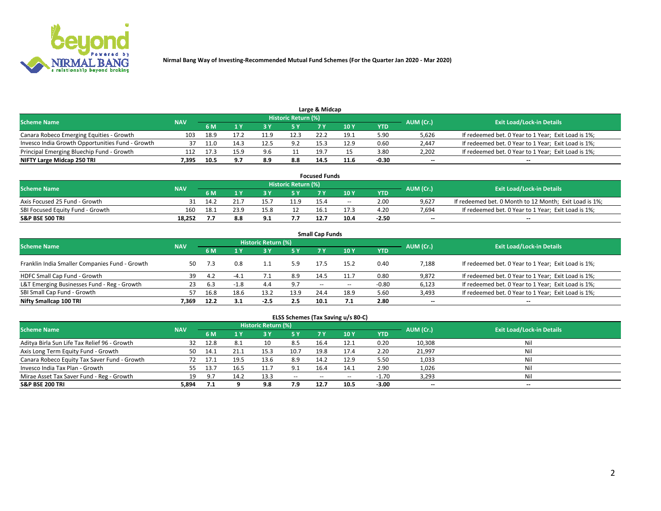

| Large & Midcap                                   |            |      |     |     |                     |      |      |         |                          |                                                     |  |  |  |  |
|--------------------------------------------------|------------|------|-----|-----|---------------------|------|------|---------|--------------------------|-----------------------------------------------------|--|--|--|--|
| <b>Scheme Name</b>                               | <b>NAV</b> |      |     |     | Historic Return (%) |      |      |         | AUM (Cr.)                | <b>Exit Load/Lock-in Details</b>                    |  |  |  |  |
|                                                  |            | 6 M  |     |     | 5 Y                 |      | 10Y  | YTD.    |                          |                                                     |  |  |  |  |
| Canara Robeco Emerging Equities - Growth         | 103        | 18.9 |     |     | 12.3                | 22.4 | 19.1 | 5.90    | 5,626                    | If redeemed bet. 0 Year to 1 Year; Exit Load is 1%; |  |  |  |  |
| Invesco India Growth Opportunities Fund - Growth |            | 11.0 |     |     | 9.2                 | 15.3 | 12.9 | 0.60    | 2,447                    | If redeemed bet. 0 Year to 1 Year; Exit Load is 1%; |  |  |  |  |
| Principal Emerging Bluechip Fund - Growth        | 112        |      |     | 9.6 |                     | 19.7 |      | 3.80    | 2,202                    | If redeemed bet. 0 Year to 1 Year; Exit Load is 1%; |  |  |  |  |
| NIFTY Large Midcap 250 TRI                       | 395./      | 10.5 | 9.7 | 8.9 | 8.8                 | 14.5 | 11.6 | $-0.30$ | $\overline{\phantom{a}}$ | $- -$                                               |  |  |  |  |

| <b>Focused Funds</b>             |            |      |      |           |                     |      |                 |            |           |                                                        |  |  |  |
|----------------------------------|------------|------|------|-----------|---------------------|------|-----------------|------------|-----------|--------------------------------------------------------|--|--|--|
| <b>Scheme Name</b>               | <b>NAV</b> |      |      |           | Historic Return (%) |      |                 |            | AUM (Cr.) | <b>Exit Load/Lock-in Details</b>                       |  |  |  |
|                                  |            | 6 M  |      |           |                     |      | 10 <sup>V</sup> | <b>YTD</b> |           |                                                        |  |  |  |
| Axis Focused 25 Fund - Growth    |            | 14.2 |      |           | 11.9                | 15.4 | $- -$           | 2.00       | 9.627     | If redeemed bet. 0 Month to 12 Month; Exit Load is 1%; |  |  |  |
| SBI Focused Equity Fund - Growth | 160        | 18.1 | 23.9 | 15.8      |                     | 16.1 | 17.3            | 4.20       | 7.694     | If redeemed bet. 0 Year to 1 Year; Exit Load is 1%;    |  |  |  |
| <b>S&amp;P BSE 500 TRI</b>       | 18.252     |      | 8.8  | $\bullet$ |                     |      | 10.4            | $-2.50$    | $\sim$    | $- -$                                                  |  |  |  |

|                                                |            |      |        |                     |           | <b>Small Cap Funds</b> |                 |         |           |                                                     |
|------------------------------------------------|------------|------|--------|---------------------|-----------|------------------------|-----------------|---------|-----------|-----------------------------------------------------|
| <b>Scheme Name</b>                             | <b>NAV</b> |      |        | Historic Return (%) |           |                        |                 |         | AUM (Cr.) | <b>Exit Load/Lock-in Details</b>                    |
|                                                |            | 6 M  |        |                     | <b>5Y</b> |                        | 10 <sub>1</sub> | YTD     |           |                                                     |
| Franklin India Smaller Companies Fund - Growth | 50         | 7.3  | 0.8    |                     | 5.9       | 17.5                   | 15.2            | 0.40    | 7,188     | If redeemed bet. 0 Year to 1 Year; Exit Load is 1%; |
| HDFC Small Cap Fund - Growth                   | 39         | 4.2  | $-4.1$ |                     | 8.9       | 14.5                   | 11.7            | 0.80    | 9,872     | If redeemed bet. 0 Year to 1 Year; Exit Load is 1%; |
| L&T Emerging Businesses Fund - Reg - Growth    | 23         | -6.3 | $-1.8$ | 4.4                 | 9.7       | $- -$                  | $- -$           | $-0.80$ | 6,123     | If redeemed bet. 0 Year to 1 Year; Exit Load is 1%; |
| SBI Small Cap Fund - Growth                    | 57         | 16.8 | 18.6   | 13.2                | 13.9      | 24.4                   | 18.9            | 5.60    | 3,493     | If redeemed bet. 0 Year to 1 Year; Exit Load is 1%; |
| Nifty Smallcap 100 TRI                         | 7.369      | 12.2 | 3.1    | $-2.5$              | 2.5       | 10.1                   |                 | 2.80    | $\sim$    | $- -$                                               |

## **ELSS Schemes (Tax Saving u/s 80-C)**

| <b>Scheme Name</b>                           | <b>NAV</b> |         |           | <b>Historic Return (%)</b> |           |                          |        |         | AUM (Cr.) | <b>Exit Load/Lock-in Details</b> |
|----------------------------------------------|------------|---------|-----------|----------------------------|-----------|--------------------------|--------|---------|-----------|----------------------------------|
|                                              |            | 6 M     | <b>AV</b> |                            | <b>5Y</b> | 7 Y                      | $-10V$ | YTD     |           |                                  |
| Aditya Birla Sun Life Tax Relief 96 - Growth | 32         | 12.8    |           | 10                         | 8.5       | 16.4                     | 12.1   | 0.20    | 10,308    | Nil                              |
| Axis Long Term Equity Fund - Growth          | 50         | 14.1    |           | 15.3                       | 10.7      | 19.8                     | 17.4   | 2.20    | 21,997    | Nil                              |
| Canara Robeco Equity Tax Saver Fund - Growth |            |         | 19.5      | 13.6                       | 8.9       | 14.2                     | 12.9   | 5.50    | 1,033     | Nil                              |
| Invesco India Tax Plan - Growth              | 55         | 13.7    | 16.5      |                            | 9.1       | 16.4                     | 14.1   | 2.90    | 1,026     | Nil                              |
| Mirae Asset Tax Saver Fund - Reg - Growth    | 19         | - Q - T | 14.2      | 13.3                       | $\sim$    | $\overline{\phantom{a}}$ | --     | $-1.70$ | 3,293     | Nil                              |
| S&P BSE 200 TRI                              | 5,894      |         |           | 9.8                        | 7.9       | 12.7                     | 10.5   | $-3.00$ | $\sim$    | $- -$                            |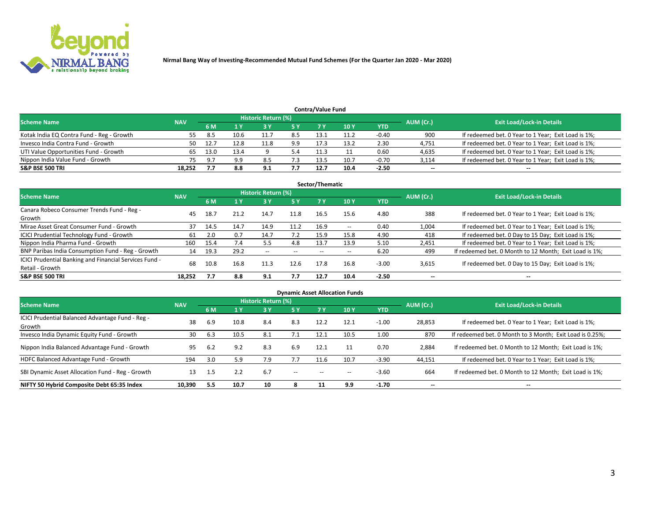

| <b>Contra/Value Fund</b>                                                                                        |        |      |      |      |     |      |      |            |        |                                                     |  |  |  |  |
|-----------------------------------------------------------------------------------------------------------------|--------|------|------|------|-----|------|------|------------|--------|-----------------------------------------------------|--|--|--|--|
| <b>Historic Return (%)</b><br><b>Exit Load/Lock-in Details</b><br>AUM (Cr.)<br><b>Scheme Name</b><br><b>NAV</b> |        |      |      |      |     |      |      |            |        |                                                     |  |  |  |  |
|                                                                                                                 |        | 6 M  |      |      | 5 Y | 7 V  | 10Y  | <b>YTD</b> |        |                                                     |  |  |  |  |
| Kotak India EQ Contra Fund - Reg - Growth                                                                       | 55.    | -8.5 | 10.6 |      | 8.5 | 13.1 | 11.2 | $-0.40$    | 900    | If redeemed bet. 0 Year to 1 Year; Exit Load is 1%; |  |  |  |  |
| Invesco India Contra Fund - Growth                                                                              | 50     |      | 12.8 | 11.8 | 9.9 | 17.3 | 13.2 | 2.30       | 4,751  | If redeemed bet. 0 Year to 1 Year; Exit Load is 1%; |  |  |  |  |
| UTI Value Opportunities Fund - Growth                                                                           |        | 13.0 | 13.4 |      | 5.4 |      |      | 0.60       | 4,635  | If redeemed bet. 0 Year to 1 Year; Exit Load is 1%; |  |  |  |  |
| Nippon India Value Fund - Growth                                                                                |        | o.   | 9.9  | 8.5  |     | 13.5 | 10.7 | $-0.70$    | 3,114  | If redeemed bet. 0 Year to 1 Year; Exit Load is 1%; |  |  |  |  |
| <b>S&amp;P BSE 500 TRI</b>                                                                                      | 18.252 |      | 8.8  | 9.1  | 7.7 | 12.7 | 10.4 | $-2.50$    | $\sim$ | $- -$                                               |  |  |  |  |

|                                                                           |            |      |      |                     |           | Sector/Thematic |                          |            |                          |                                                        |
|---------------------------------------------------------------------------|------------|------|------|---------------------|-----------|-----------------|--------------------------|------------|--------------------------|--------------------------------------------------------|
| <b>Scheme Name</b>                                                        | <b>NAV</b> |      |      | Historic Return (%) |           |                 |                          |            | AUM (Cr.)                | <b>Exit Load/Lock-in Details</b>                       |
|                                                                           |            | 6 M  | 1 Y  | 73 Y                | <b>5Y</b> | 7 Y             | 10Y                      | <b>YTD</b> |                          |                                                        |
| Canara Robeco Consumer Trends Fund - Reg -<br>Growth                      | 45         | 18.7 | 21.2 | 14.7                | 11.8      | 16.5            | 15.6                     | 4.80       | 388                      | If redeemed bet. 0 Year to 1 Year; Exit Load is 1%;    |
| Mirae Asset Great Consumer Fund - Growth                                  | 37         | 14.5 | 14.7 | 14.9                | 11.2      | 16.9            | $\overline{\phantom{a}}$ | 0.40       | 1,004                    | If redeemed bet. 0 Year to 1 Year; Exit Load is 1%;    |
| ICICI Prudential Technology Fund - Growth                                 | 61         | 2.0  | 0.7  | 14.7                | 7.2       | 15.9            | 15.8                     | 4.90       | 418                      | If redeemed bet. 0 Day to 15 Day; Exit Load is 1%;     |
| Nippon India Pharma Fund - Growth                                         | 160        | 15.4 | 7.4  | 5.5                 | 4.8       | 13.7            | 13.9                     | 5.10       | 2,451                    | If redeemed bet. 0 Year to 1 Year; Exit Load is 1%;    |
| BNP Paribas India Consumption Fund - Reg - Growth                         | 14         | 19.3 | 29.2 | $- -$               | $- -$     | $- -$           | $- -$                    | 6.20       | 499                      | If redeemed bet. 0 Month to 12 Month; Exit Load is 1%; |
| ICICI Prudential Banking and Financial Services Fund -<br>Retail - Growth | 68         | 10.8 | 16.8 | 11.3                | 12.6      | 17.8            | 16.8                     | $-3.00$    | 3,615                    | If redeemed bet. 0 Day to 15 Day; Exit Load is 1%;     |
| <b>S&amp;P BSE 500 TRI</b>                                                | 18.252     | 7.7  | 8.8  | 9.1                 | 7.7       | 12.7            | 10.4                     | $-2.50$    | $\overline{\phantom{a}}$ | $\overline{\phantom{a}}$                               |

| <b>Dynamic Asset Allocation Funds</b>                      |            |     |      |                     |               |           |      |            |                          |                                                          |  |  |  |
|------------------------------------------------------------|------------|-----|------|---------------------|---------------|-----------|------|------------|--------------------------|----------------------------------------------------------|--|--|--|
| <b>Scheme Name</b>                                         | <b>NAV</b> |     |      | Historic Return (%) |               |           |      |            | AUM (Cr.)                | <b>Exit Load/Lock-in Details</b>                         |  |  |  |
|                                                            |            | 6 M |      | 3 Y                 | 5 Y           | <b>7Y</b> | 10Y  | <b>YTD</b> |                          |                                                          |  |  |  |
| ICICI Prudential Balanced Advantage Fund - Reg -<br>Growth | 38         | 6.9 | 10.8 | 8.4                 | 8.3           | 12.2      | 12.1 | $-1.00$    | 28,853                   | If redeemed bet. 0 Year to 1 Year; Exit Load is 1%;      |  |  |  |
| Invesco India Dynamic Equity Fund - Growth                 | 30         | 6.3 | 10.5 | 8.1                 | 7.1           | 12.1      | 10.5 | 1.00       | 870                      | If redeemed bet. 0 Month to 3 Month; Exit Load is 0.25%; |  |  |  |
| Nippon India Balanced Advantage Fund - Growth              | 95         | 6.2 | 9.2  | 8.3                 | 6.9           | 12.1      |      | 0.70       | 2,884                    | If redeemed bet. 0 Month to 12 Month; Exit Load is 1%;   |  |  |  |
| HDFC Balanced Advantage Fund - Growth                      | 194        | 3.0 | 5.9  | 7.9                 | 7.7           | 11.6      | 10.7 | $-3.90$    | 44,151                   | If redeemed bet. 0 Year to 1 Year; Exit Load is 1%;      |  |  |  |
| SBI Dynamic Asset Allocation Fund - Reg - Growth           | 13         | 1.5 | 2.2  | 6.7                 | $\sim$ $\sim$ | $- -$     | --   | $-3.60$    | 664                      | If redeemed bet. 0 Month to 12 Month; Exit Load is 1%;   |  |  |  |
| NIFTY 50 Hybrid Composite Debt 65:35 Index                 | 10,390     | 5.5 | 10.7 | 10                  | x             | 11        | 9.9  | $-1.70$    | $\overline{\phantom{a}}$ | $- -$                                                    |  |  |  |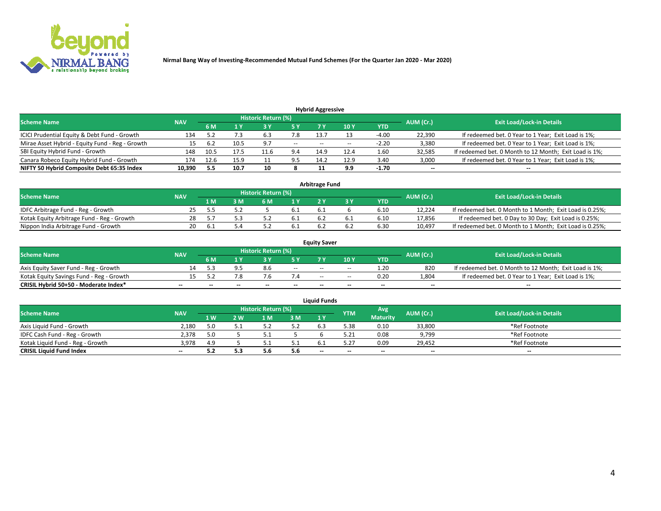

| <b>Hybrid Aggressive</b>                        |            |      |      |                            |        |                          |       |         |                          |                                                        |  |  |  |  |
|-------------------------------------------------|------------|------|------|----------------------------|--------|--------------------------|-------|---------|--------------------------|--------------------------------------------------------|--|--|--|--|
| <b>Scheme Name</b>                              | <b>NAV</b> |      |      | <b>Historic Return (%)</b> |        |                          |       |         | AUM (Cr.)                | <b>Exit Load/Lock-in Details</b>                       |  |  |  |  |
|                                                 |            | 6 M  |      |                            |        |                          | 10Y   | YTD     |                          |                                                        |  |  |  |  |
| ICICI Prudential Equity & Debt Fund - Growth    | 134        |      |      | 6.3                        | 7.8    | 13.7                     |       | $-4.00$ | 22,390                   | If redeemed bet. 0 Year to 1 Year; Exit Load is 1%;    |  |  |  |  |
| Mirae Asset Hybrid - Equity Fund - Reg - Growth | 15         | 6.2  | 10.5 | 9.7                        | $\sim$ | $\overline{\phantom{a}}$ | $- -$ | $-2.20$ | 3,380                    | If redeemed bet. 0 Year to 1 Year; Exit Load is 1%;    |  |  |  |  |
| SBI Equity Hybrid Fund - Growth                 | 148        |      |      | 11.6                       | 9.4    | 14.9                     | 12.4  | 1.60    | 32,585                   | If redeemed bet. 0 Month to 12 Month; Exit Load is 1%; |  |  |  |  |
| Canara Robeco Equity Hybrid Fund - Growth       | 174        | 12.6 | 15.9 |                            | 9.5    | 14.2                     | 12.9  | 3.40    | 3,000                    | If redeemed bet. 0 Year to 1 Year; Exit Load is 1%;    |  |  |  |  |
| NIFTY 50 Hybrid Composite Debt 65:35 Index      | 10,390     | 5.5  | 10.7 | 10                         |        |                          | 9.9   | $-1.70$ | $\overline{\phantom{a}}$ | $- -$                                                  |  |  |  |  |

|                                            |            |           |                                  |                | Arbitrage Fund |            |        |                                                          |
|--------------------------------------------|------------|-----------|----------------------------------|----------------|----------------|------------|--------|----------------------------------------------------------|
| <b>Scheme Name</b>                         | <b>NAV</b> | AUM (Cr.) | <b>Exit Load/Lock-in Details</b> |                |                |            |        |                                                          |
|                                            |            | l M       | <b>M</b>                         | 1 <sub>V</sub> |                | <b>YTD</b> |        |                                                          |
| IDFC Arbitrage Fund - Reg - Growth         |            |           |                                  |                | b.1            | 6.10       | 12.224 | If redeemed bet. 0 Month to 1 Month; Exit Load is 0.25%; |
| Kotak Equity Arbitrage Fund - Reg - Growth |            |           |                                  | 0.1            |                | 6.10       | 17,856 | If redeemed bet. 0 Day to 30 Day; Exit Load is 0.25%;    |
| Nippon India Arbitrage Fund - Growth       | 20         | h         |                                  |                |                | 6.30       | 10.497 | If redeemed bet. 0 Month to 1 Month; Exit Load is 0.25%; |

|                                          | <b>Equity Saver</b> |           |                                  |                          |                          |               |               |            |                          |                                                        |  |  |  |  |  |
|------------------------------------------|---------------------|-----------|----------------------------------|--------------------------|--------------------------|---------------|---------------|------------|--------------------------|--------------------------------------------------------|--|--|--|--|--|
| Scheme Name                              | <b>NAV</b>          | AUM (Cr.) | <b>Exit Load/Lock-in Details</b> |                          |                          |               |               |            |                          |                                                        |  |  |  |  |  |
|                                          |                     | 6 M       |                                  |                          | 5 Y                      |               | $\sqrt{10}$ Y | <b>YTD</b> |                          |                                                        |  |  |  |  |  |
| Axis Equity Saver Fund - Reg - Growth    |                     |           |                                  | 8.6                      | $\sim$                   | $- -$         | $- -$         | 1.20       | 820                      | If redeemed bet. 0 Month to 12 Month; Exit Load is 1%; |  |  |  |  |  |
| Kotak Equity Savings Fund - Reg - Growth |                     |           | 7.8                              |                          |                          | $\sim$ $\sim$ | $- -$         | 0.20       | 1,804                    | If redeemed bet. 0 Year to 1 Year; Exit Load is 1%;    |  |  |  |  |  |
| CRISIL Hybrid 50+50 - Moderate Index*    |                     | $-$       | $-$                              | $\overline{\phantom{a}}$ | $\overline{\phantom{a}}$ | $\sim$        | --            | $- -$      | $\overline{\phantom{a}}$ | $- -$                                                  |  |  |  |  |  |

| <b>Liquid Funds</b>              |            |      |     |                            |     |                          |            |                 |           |                                  |  |  |  |  |
|----------------------------------|------------|------|-----|----------------------------|-----|--------------------------|------------|-----------------|-----------|----------------------------------|--|--|--|--|
| Scheme Name                      | <b>NAV</b> |      |     | <b>Historic Return (%)</b> |     |                          | <b>YTM</b> | Avg             | AUM (Cr.) | <b>Exit Load/Lock-in Details</b> |  |  |  |  |
|                                  |            | 1 W. | 2 W | 1 M                        | 3M  | 71 Y                     |            | <b>Maturity</b> |           |                                  |  |  |  |  |
| Axis Liquid Fund - Growth        | 2,180      |      |     |                            | 5.2 |                          | 5.38       | 0.10            | 33,800    | *Ref Footnote                    |  |  |  |  |
| IDFC Cash Fund - Reg - Growth    | 2.378      | 5.0  |     | ـ . ـ                      |     |                          | 5.21       | 0.08            | 9,799     | *Ref Footnote                    |  |  |  |  |
| Kotak Liquid Fund - Reg - Growth | 3,978      | 4.9  |     |                            | ـ . |                          |            | 0.09            | 29,452    | *Ref Footnote                    |  |  |  |  |
| <b>CRISIL Liquid Fund Index</b>  | $\sim$     | 5.2  | 5.3 |                            | 5.6 | $\overline{\phantom{a}}$ | $-$        | $- -$           | $\sim$    | $\sim$                           |  |  |  |  |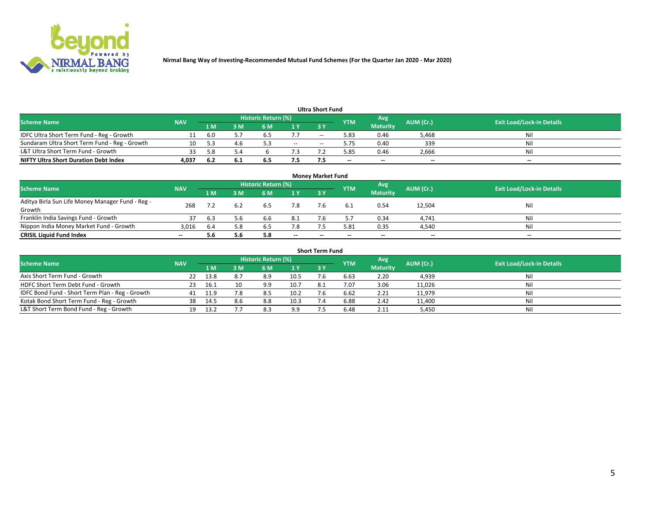

| <b>Ultra Short Fund</b>                       |            |      |     |                     |        |            |            |                 |           |                                  |  |  |  |  |
|-----------------------------------------------|------------|------|-----|---------------------|--------|------------|------------|-----------------|-----------|----------------------------------|--|--|--|--|
| <b>Scheme Name</b>                            | <b>NAV</b> |      |     | Historic Return (%) |        |            | <b>YTM</b> | Avg             | AUM (Cr.) | <b>Exit Load/Lock-in Details</b> |  |  |  |  |
|                                               |            | 1 M  | 3 M | 6 M                 | 1 Y    | <b>3 Y</b> |            | <b>Maturity</b> |           |                                  |  |  |  |  |
| IDFC Ultra Short Term Fund - Reg - Growth     |            | -6.0 |     |                     |        | $-$        | 5.83       | 0.46            | 5,468     | Nil                              |  |  |  |  |
| Sundaram Ultra Short Term Fund - Reg - Growth |            |      | 4.6 |                     | $\sim$ | --         | 5.75       | 0.40            | 339       | Nil                              |  |  |  |  |
| L&T Ultra Short Term Fund - Growth            |            | 58   |     |                     |        |            | 5.85       | 0.46            | 2,666     | Nil                              |  |  |  |  |
| <b>NIFTY Ultra Short Duration Debt Index</b>  | 4,037      | -6.2 | 6.1 | 6.5                 | 7.5    |            | $-$        | $-$             | $- -$     | $- -$                            |  |  |  |  |

| <b>Money Market Fund</b>                                   |            |     |     |                     |        |    |            |                 |           |                                  |  |  |  |
|------------------------------------------------------------|------------|-----|-----|---------------------|--------|----|------------|-----------------|-----------|----------------------------------|--|--|--|
| <b>Scheme Name</b>                                         | <b>NAV</b> |     |     | Historic Return (%) |        |    | <b>YTM</b> | 'Avg            | AUM (Cr.) | <b>Exit Load/Lock-in Details</b> |  |  |  |
|                                                            |            | 1 M | 3 M | 6 M                 | 1 Y    | 3Y |            | <b>Maturity</b> |           |                                  |  |  |  |
| Aditya Birla Sun Life Money Manager Fund - Reg -<br>Growth | 268        |     |     | 6.5                 | 7.8    |    |            | 0.54            | 12,504    | Nil                              |  |  |  |
| Franklin India Savings Fund - Growth                       |            | 6.3 | 5.6 | 6.6                 | 8.1    |    |            | 0.34            | 4,741     | Nil                              |  |  |  |
| Nippon India Money Market Fund - Growth                    | 3,016      | 6.4 | 5.8 | 6.5                 | 7.8    |    | 5.81       | 0.35            | 4,540     | Nil                              |  |  |  |
| <b>CRISIL Liquid Fund Index</b>                            | $- -$      | 5.6 | 5.6 | 5.8                 | $\sim$ | -- | --         | $\sim$          | $\sim$    | $\sim$                           |  |  |  |

| <b>Short Term Fund</b>                          |            |      |     |                     |      |           |            |                 |           |                                  |  |  |  |  |
|-------------------------------------------------|------------|------|-----|---------------------|------|-----------|------------|-----------------|-----------|----------------------------------|--|--|--|--|
| <b>Scheme Name</b>                              | <b>NAV</b> |      |     | Historic Return (%) |      |           | <b>YTM</b> | Avg             | AUM (Cr.) | <b>Exit Load/Lock-in Details</b> |  |  |  |  |
|                                                 |            | 1 M  | 3 M | 6 M                 | 1Y   | <b>3Y</b> |            | <b>Maturity</b> |           |                                  |  |  |  |  |
| Axis Short Term Fund - Growth                   |            | 13.8 | 8.7 | 8.9                 | 10.5 |           | 6.63       | 2.20            | 4,939     | Nil                              |  |  |  |  |
| HDFC Short Term Debt Fund - Growth              | 23         | 16.1 |     | 9.9                 | 10.7 | 8.1       | 7.07       | 3.06            | 11,026    | Nil                              |  |  |  |  |
| IDFC Bond Fund - Short Term Plan - Reg - Growth | 41         | 11.9 | 7.8 | 8.5                 | 10.2 |           | 6.62       | 2.21            | 11,979    | Nil                              |  |  |  |  |
| Kotak Bond Short Term Fund - Reg - Growth       | 38         | 14.5 | 8.6 | 8.8                 | 10.3 |           | 6.88       | 2.42            | 11,400    | Nil                              |  |  |  |  |
| L&T Short Term Bond Fund - Reg - Growth         |            | 13.2 |     | 8.3                 | 9.9  |           | 6.48       | 2.11            | 5,450     | Nil                              |  |  |  |  |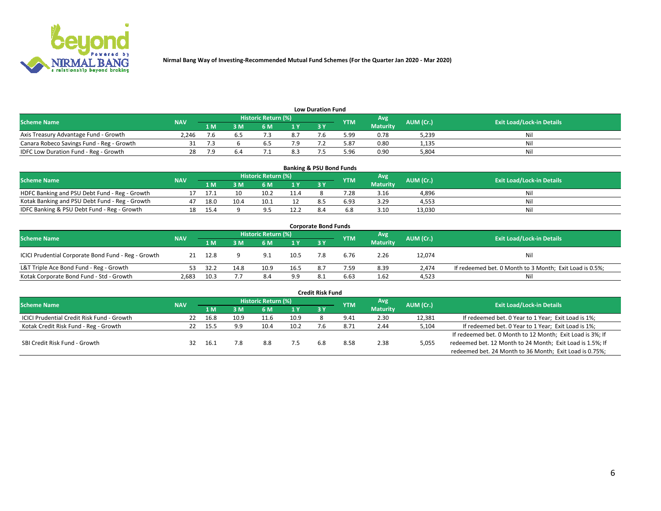

| <b>Low Duration Fund</b>                  |            |      |     |                            |     |    |            |                 |           |                                  |  |  |  |  |
|-------------------------------------------|------------|------|-----|----------------------------|-----|----|------------|-----------------|-----------|----------------------------------|--|--|--|--|
| <b>Scheme Name</b>                        | <b>NAV</b> |      |     | <b>Historic Return (%)</b> |     |    | <b>YTM</b> | Avg             | AUM (Cr.) | <b>Exit Load/Lock-in Details</b> |  |  |  |  |
|                                           |            | 1 M' | ያ M |                            | 1 V | эv |            | <b>Maturity</b> |           |                                  |  |  |  |  |
| Axis Treasury Advantage Fund - Growth     | 2.246      |      |     |                            | 8.7 |    | 5.99       | 0.78            | 5,239     | Nil                              |  |  |  |  |
| Canara Robeco Savings Fund - Reg - Growth |            |      |     |                            |     |    | 5.87       | 0.80            | 1.135     | Nil                              |  |  |  |  |
| IDFC Low Duration Fund - Reg - Growth     | 28         |      |     |                            | 8.3 |    | 5.96       | 0.90            | 5,804     | Nil                              |  |  |  |  |

| <b>Banking &amp; PSU Bond Funds</b>            |            |                                                              |      |      |                |       |      |                 |                                  |     |  |  |  |
|------------------------------------------------|------------|--------------------------------------------------------------|------|------|----------------|-------|------|-----------------|----------------------------------|-----|--|--|--|
| <b>Scheme Name</b>                             | <b>NAV</b> | <b>Historic Return (%)</b><br>Avg<br>AUM (Cr.)<br><b>YTM</b> |      |      |                |       |      |                 | <b>Exit Load/Lock-in Details</b> |     |  |  |  |
|                                                |            | 1 M                                                          | 8 M  |      | 4 <sub>Y</sub> | $-3V$ |      | <b>Maturity</b> |                                  |     |  |  |  |
| HDFC Banking and PSU Debt Fund - Reg - Growth  |            |                                                              |      | 10.2 | 11.4           |       | .28  | 3.16            | 4,896                            | Nil |  |  |  |
| Kotak Banking and PSU Debt Fund - Reg - Growth | 47         | 18.0                                                         | 10.4 | 10.1 |                |       | 6.93 | 3.29            | 4,553                            | Nil |  |  |  |
| IDFC Banking & PSU Debt Fund - Reg - Growth    |            | 15.4                                                         |      |      | 12.2           |       |      | 3.10            | 13.030                           | Nil |  |  |  |

| <b>Corporate Bond Funds</b>                         |            |      |      |                     |      |            |            |                 |           |                                                         |  |  |  |
|-----------------------------------------------------|------------|------|------|---------------------|------|------------|------------|-----------------|-----------|---------------------------------------------------------|--|--|--|
| <b>Scheme Name</b>                                  | <b>NAV</b> |      |      | Historic Return (%) |      |            | <b>YTM</b> | Avg             | AUM (Cr.) | <b>Exit Load/Lock-in Details</b>                        |  |  |  |
|                                                     |            | 1 M  | 8 M  | 6 M                 | 1 Y  | <b>3 Y</b> |            | <b>Maturity</b> |           |                                                         |  |  |  |
| ICICI Prudential Corporate Bond Fund - Reg - Growth |            | 12.8 |      | $^{\circ}$ 1        | 10.5 |            | 6.76       | 2.26            | 12,074    | Nil                                                     |  |  |  |
| L&T Triple Ace Bond Fund - Reg - Growth             |            | 32.2 | 14.8 | 10.9                | 16.5 | 87         | 7.59       | 8.39            | 2.474     | If redeemed bet. 0 Month to 3 Month; Exit Load is 0.5%; |  |  |  |
| Kotak Corporate Bond Fund - Std - Growth            | 2,683      | 10.3 |      | 8.4                 | 9.9  | -8.1       | 6.63       | 1.62            | 4,523     | Nil                                                     |  |  |  |

| <b>Credit Risk Fund</b>                    |            |      |      |                     |      |     |            |                 |           |                                                           |  |  |  |
|--------------------------------------------|------------|------|------|---------------------|------|-----|------------|-----------------|-----------|-----------------------------------------------------------|--|--|--|
| <b>Scheme Name</b>                         | <b>NAV</b> |      |      | Historic Return (%) |      |     | <b>YTM</b> | Avg             | AUM (Cr.) | <b>Exit Load/Lock-in Details</b>                          |  |  |  |
|                                            |            | 1 M  | I M  | 6 M                 | 1 Y  | 3Y  |            | <b>Maturity</b> |           |                                                           |  |  |  |
| ICICI Prudential Credit Risk Fund - Growth | 22         | 16.8 | 10.9 | 11.6                | 10.9 |     | 9.41       | 2.30            | 12,381    | If redeemed bet. 0 Year to 1 Year; Exit Load is 1%;       |  |  |  |
| Kotak Credit Risk Fund - Reg - Growth      |            | 15.5 | 9.9  | 10.4                | 10.2 |     | 8.71       | 2.44            | 5,104     | If redeemed bet. 0 Year to 1 Year; Exit Load is 1%;       |  |  |  |
|                                            |            |      |      |                     |      |     |            |                 |           | If redeemed bet. 0 Month to 12 Month; Exit Load is 3%; If |  |  |  |
| SBI Credit Risk Fund - Growth              | 32         | 16.1 | 7.8  | 8.8                 |      | 6.8 | 8.58       | 2.38            | 5,055     | redeemed bet. 12 Month to 24 Month; Exit Load is 1.5%; If |  |  |  |
|                                            |            |      |      |                     |      |     |            |                 |           | redeemed bet. 24 Month to 36 Month; Exit Load is 0.75%;   |  |  |  |